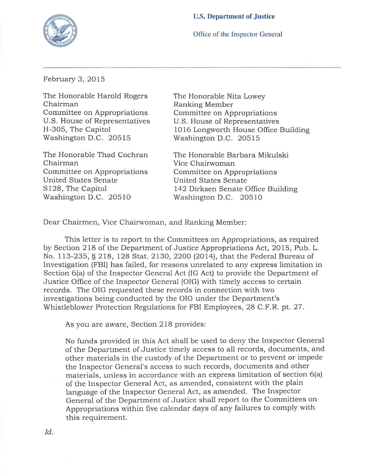

Office of the Inspector General

February 3, 2015

The Honorable Harold Rogers Chairman Committee on Appropriations u.s. House of Representatives H-305, The Capitol Washington D.C. 20515

The Honorable Thad Cochran Chairman Committee on Appropriations United States Senate S128, The Capitol Washington D.C. 20510

The Honorable Nita Lowey Ranking Member Committee on Appropriations U.S. House of Representatives 1016 Longworth House Office Building Washington D.C. 20515

The Honorable Barbara Mikulski Vice Chairwoman Committee on Appropriations United States Senate 142 Dirksen Senate Office Building Washington D.C. 205 10

Dear Chairmen, Vice Chairwoman, and Ranking Member:

This letter is to report to the Committees on Appropriations, as required by Section 218 of the Department of Justice Appropriations Act, 2015, Pub. L. No. 113-235, § 218, 128 Stat. 2130, 2200 (2014), that the Federal Bureau of Investigation (FBI) has failed, for reasons unrelated to any express limitation in Section 6(a) of the Inspector General Act (IG Act) to provide the Department of Justice Office of the Inspector General (OIG) with timely access to certain records. The OIG requested these records in connection with two investigations being conducted by the OIG under the Department's Whistleblower Protection Regulations for FBI Employees, 28 C.F.R. pt. 27.

As you are aware, Section 218 provides:

No funds provided in this Act shall be used to deny the Inspector General of the Department of Justice timely access to all records, documents, and other ma terials in the custody of the Department or to prevent or impede the Inspector General's access to such records, documents and other materials, unless in accordance with an express limitation of section 6(a) of the Inspector General Act, as amended, consistent with the plain language of the Inspector General Act, as amended. The Inspector General of the Department of Justice shall report to the Committees on Appropriations within five calendar days of any failures to comply with this requirement.

*Id.*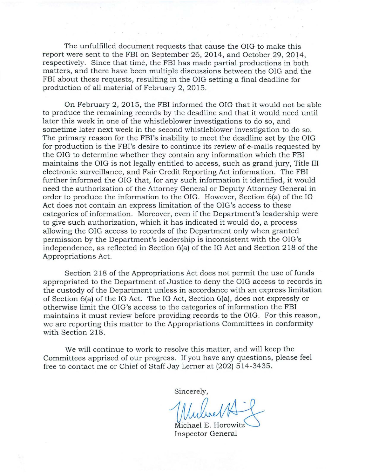The unfulfilled document requests that cause the OIG to make this report were sent to the FBI on September 26,2014, and October 29,2014, respectively. Since that time, the FBI has made partial productions in both matters, and there have been mUltiple discussions between the OIG and the FBI about these requests, resulting in the OIG setting a final deadline for production of all material of February 2, 2015.

On February 2, 2015, the FBI informed the OIG that it would not be able to produce the remaining records by the deadline and that it would need until later this week in one of the whistleblower investigations to do so, and sometime later next week in the second whistleblower investigation to do so. The primary reason for the FBI's inability to meet the deadline set by the OIG for production is the FBI's desire to continue its review of e-mails requested by the OIG to determine whether they contain any information which the FBI maintains the OIG is not legally entitled to access, such as grand jury, Title III electronic surveillance, and Fair Credit Reporting Act information. The FBI further informed the OIG that, for any such information it identified, it would need the authorization of the Attorney General or Deputy Attorney General in order to produce the information to the OIG. However, Section 6(a) of the IG Act does not contain an express limitation of the OIG's access to these categories of information. Moreover, even if the Department's leadership were to give such authorization, which it has indicated it would do, a process allowing the OIG access to records of the Department only when granted permission by the Department's leadership is inconsistent with the OIG's independence, as reflected in Section 6(a) of the IG Act and Section 218 of the Appropriations Act.

Section 218 of the Appropriations Act does not permit the use of funds appropriated to the Department of Justice to deny the OIG access to records in the custody of the Department unless in accordance with an express limitation of Section 6(a) of the IG Act. The IG Act, Section 6(a), does not expressly or otherwise limit the OIG's access to the categories of information the FBI maintains it must review before providing records to the OIG. For this reason, we are reporting this matter to the Appropriations Committees in conformity with Section 218.

We will continue to work to resolve this matter, and will keep the Committees apprised of our progress. If you have any questions, please feel free to contact me or Chief of Staff Jay Lerner at (202) 514-3435.

Sincerely,

Inspector General . Horowitz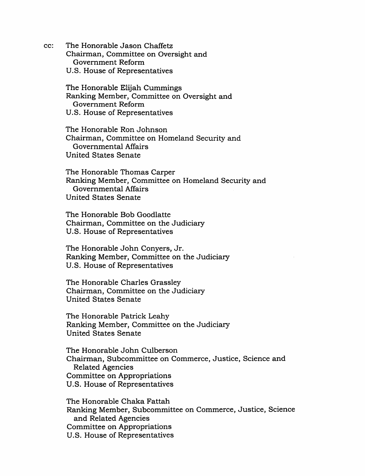cc: The Honorable Jason Chaffetz Chairman, Committee on Oversight and Government Reform U.S. House of Representatives

> The Honorable Elijah Cummings Ranking Member, Committee on Oversight and Government Reform U.S. House of Representatives

The Honorable Ron Johnson Chairman, Committee on Homeland Security and Governmental Affairs United States Senate

The Honorable Thomas Carper Ranking Member, Committee on Homeland Security and Governmental Affairs United States Senate

The Honorable Bob Goodlatte Chairman, Committee on the JUdiciary U.S. House of Representatives

The Honorable John Conyers, Jr. Ranking Member, Committee on the Judiciary U.S. House of Representatives

The Honorable Charles Grassley Chairman, Committee on the Judiciary United States Senate

The Honorable Patrick Leahy Ranking Member, Committee on the JUdiciary United States Senate

The Honorable John Culberson Chairman, Subcommittee on Commerce, Justice, Science and Related Agencies Committee on Appropriations U.S. House of Representatives

The Honorable Chaka Fattah Ranking Member, Subcommittee on Commerce, Justice, Science and Related Agencies Committee on Appropriations U.S. House of Representatives